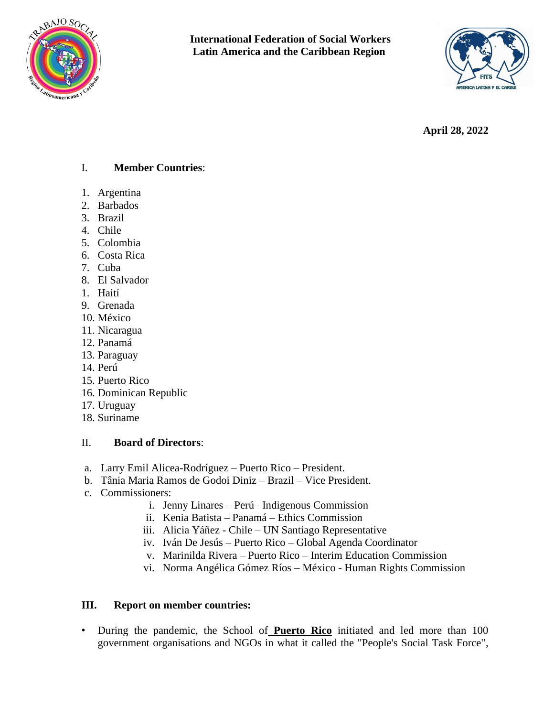



**April 28, 2022**

#### I. **Member Countries**:

- 1. Argentina
- 2. Barbados
- 3. Brazil
- 4. Chile
- 5. Colombia
- 6. Costa Rica
- 7. Cuba
- 8. El Salvador
- 1. Haití
- 9. Grenada
- 10. México
- 11. Nicaragua
- 12. Panamá
- 13. Paraguay
- 14. Perú
- 15. Puerto Rico
- 16. Dominican Republic
- 17. Uruguay
- 18. Suriname

#### II. **Board of Directors**:

- a. Larry Emil Alicea-Rodríguez Puerto Rico President.
- b. Tânia Maria Ramos de Godoi Diniz Brazil Vice President.
- c. Commissioners:
	- i. Jenny Linares Perú– Indigenous Commission
	- ii. Kenia Batista Panamá Ethics Commission
	- iii. Alicia Yáñez Chile UN Santiago Representative
	- iv. Iván De Jesús Puerto Rico Global Agenda Coordinator
	- v. Marinilda Rivera Puerto Rico Interim Education Commission
	- vi. Norma Angélica Gómez Ríos México Human Rights Commission

## **III. Report on member countries:**

• During the pandemic, the School of **Puerto Rico** initiated and led more than 100 government organisations and NGOs in what it called the "People's Social Task Force",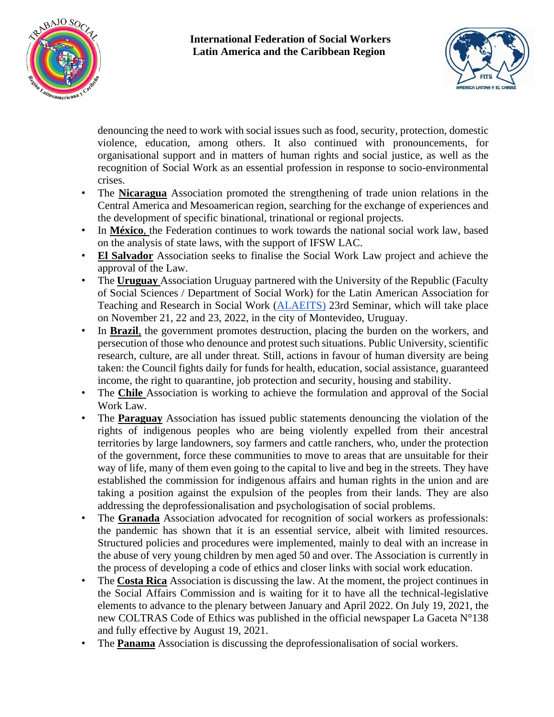



denouncing the need to work with social issues such as food, security, protection, domestic violence, education, among others. It also continued with pronouncements, for organisational support and in matters of human rights and social justice, as well as the recognition of Social Work as an essential profession in response to socio-environmental crises.

- The **Nicaragua** Association promoted the strengthening of trade union relations in the Central America and Mesoamerican region, searching for the exchange of experiences and the development of specific binational, trinational or regional projects.
- In **México**, the Federation continues to work towards the national social work law, based on the analysis of state laws, with the support of IFSW LAC.
- **El Salvador** Association seeks to finalise the Social Work Law project and achieve the approval of the Law.
- The **Uruguay** Association Uruguay partnered with the University of the Republic (Faculty of Social Sciences / Department of Social Work) for the Latin American Association for Teaching and Research in Social Work [\(ALAEITS\)](https://www.iassw-aiets.org/es/la-asociacion-latinoamericana-de-ensenanza-e-investigacion-en-trabajo-social-alaeits/) 23rd Seminar, which will take place on November 21, 22 and 23, 2022, in the city of Montevideo, Uruguay.
- In **Brazil**, the government promotes destruction, placing the burden on the workers, and persecution of those who denounce and protest such situations. Public University, scientific research, culture, are all under threat. Still, actions in favour of human diversity are being taken: the Council fights daily for funds for health, education, social assistance, guaranteed income, the right to quarantine, job protection and security, housing and stability.
- The **Chile** Association is working to achieve the formulation and approval of the Social Work Law.
- The **Paraguay** Association has issued public statements denouncing the violation of the rights of indigenous peoples who are being violently expelled from their ancestral territories by large landowners, soy farmers and cattle ranchers, who, under the protection of the government, force these communities to move to areas that are unsuitable for their way of life, many of them even going to the capital to live and beg in the streets. They have established the commission for indigenous affairs and human rights in the union and are taking a position against the expulsion of the peoples from their lands. They are also addressing the deprofessionalisation and psychologisation of social problems.
- The **Granada** Association advocated for recognition of social workers as professionals: the pandemic has shown that it is an essential service, albeit with limited resources. Structured policies and procedures were implemented, mainly to deal with an increase in the abuse of very young children by men aged 50 and over. The Association is currently in the process of developing a code of ethics and closer links with social work education.
- The **Costa Rica** Association is discussing the law. At the moment, the project continues in the Social Affairs Commission and is waiting for it to have all the technical-legislative elements to advance to the plenary between January and April 2022. On July 19, 2021, the new COLTRAS Code of Ethics was published in the official newspaper La Gaceta N°138 and fully effective by August 19, 2021.
- The **Panama** Association is discussing the deprofessionalisation of social workers.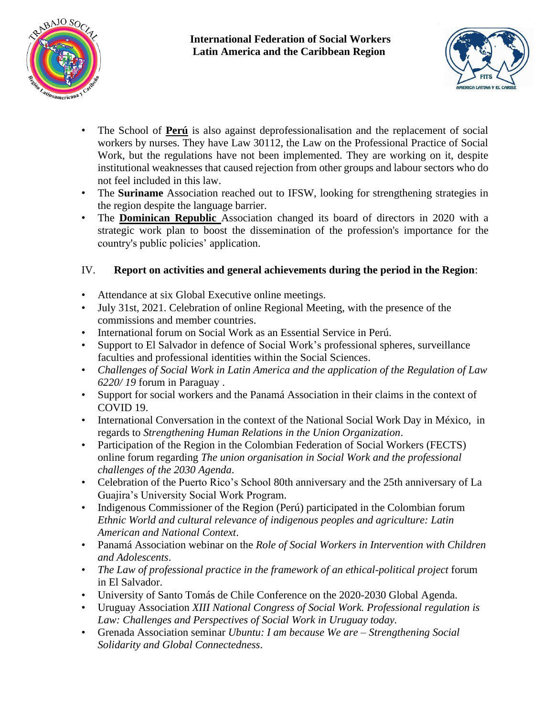



- The School of **Perú** is also against deprofessionalisation and the replacement of social workers by nurses. They have Law 30112, the Law on the Professional Practice of Social Work, but the regulations have not been implemented. They are working on it, despite institutional weaknesses that caused rejection from other groups and labour sectors who do not feel included in this law.
- The **Suriname** Association reached out to IFSW, looking for strengthening strategies in the region despite the language barrier.
- The **Dominican Republic** Association changed its board of directors in 2020 with a strategic work plan to boost the dissemination of the profession's importance for the country's public policies' application.

# IV. **Report on activities and general achievements during the period in the Region**:

- Attendance at six Global Executive online meetings.
- July 31st, 2021. Celebration of online Regional Meeting, with the presence of the commissions and member countries.
- International forum on Social Work as an Essential Service in Perú.
- Support to El Salvador in defence of Social Work's professional spheres, surveillance faculties and professional identities within the Social Sciences.
- *Challenges of Social Work in Latin America and the application of the Regulation of Law 6220/ 19* forum in Paraguay .
- Support for social workers and the Panamá Association in their claims in the context of COVID 19.
- International Conversation in the context of the National Social Work Day in México, in regards to *Strengthening Human Relations in the Union Organization*.
- Participation of the Region in the Colombian Federation of Social Workers (FECTS) online forum regarding *The union organisation in Social Work and the professional challenges of the 2030 Agenda*.
- Celebration of the Puerto Rico's School 80th anniversary and the 25th anniversary of La Guajira's University Social Work Program.
- Indigenous Commissioner of the Region (Perú) participated in the Colombian forum *Ethnic World and cultural relevance of indigenous peoples and agriculture: Latin American and National Context*.
- Panamá Association webinar on the *Role of Social Workers in Intervention with Children and Adolescents*.
- *The Law of professional practice in the framework of an ethical-political project* forum in El Salvador.
- University of Santo Tomás de Chile Conference on the 2020-2030 Global Agenda.
- Uruguay Association *XIII National Congress of Social Work. Professional regulation is Law: Challenges and Perspectives of Social Work in Uruguay today.*
- Grenada Association seminar *Ubuntu: I am because We are – Strengthening Social Solidarity and Global Connectedness*.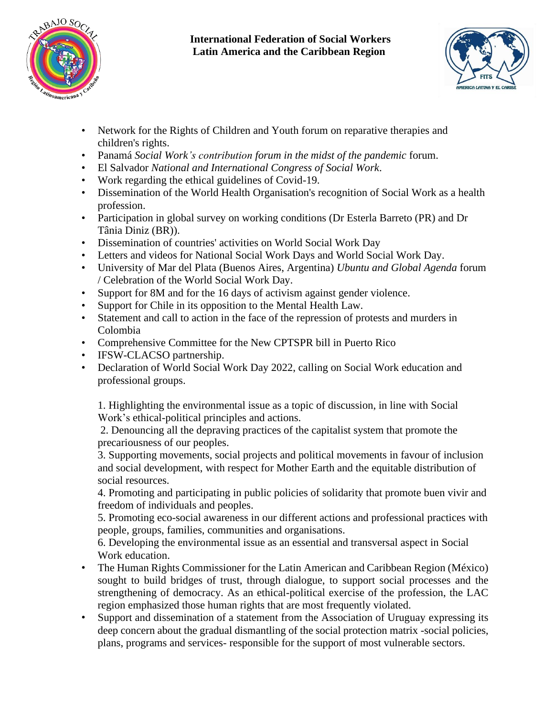



- Network for the Rights of Children and Youth forum on reparative therapies and children's rights.
- Panamá *Social Work's contribution forum in the midst of the pandemic* forum.
- El Salvador *National and International Congress of Social Work*.
- Work regarding the ethical guidelines of Covid-19.
- Dissemination of the World Health Organisation's recognition of Social Work as a health profession.
- Participation in global survey on working conditions (Dr Esterla Barreto (PR) and Dr Tânia Diniz (BR)).
- Dissemination of countries' activities on World Social Work Day
- Letters and videos for National Social Work Days and World Social Work Day.
- University of Mar del Plata (Buenos Aires, Argentina) *Ubuntu and Global Agenda* forum / Celebration of the World Social Work Day.
- Support for 8M and for the 16 days of activism against gender violence.
- Support for Chile in its opposition to the Mental Health Law.
- Statement and call to action in the face of the repression of protests and murders in Colombia
- Comprehensive Committee for the New CPTSPR bill in Puerto Rico
- IFSW-CLACSO partnership.
- Declaration of World Social Work Day 2022, calling on Social Work education and professional groups.

1. Highlighting the environmental issue as a topic of discussion, in line with Social Work's ethical-political principles and actions.

2. Denouncing all the depraving practices of the capitalist system that promote the precariousness of our peoples.

3. Supporting movements, social projects and political movements in favour of inclusion and social development, with respect for Mother Earth and the equitable distribution of social resources.

4. Promoting and participating in public policies of solidarity that promote buen vivir and freedom of individuals and peoples.

5. Promoting eco-social awareness in our different actions and professional practices with people, groups, families, communities and organisations.

6. Developing the environmental issue as an essential and transversal aspect in Social Work education.

- The Human Rights Commissioner for the Latin American and Caribbean Region (México) sought to build bridges of trust, through dialogue, to support social processes and the strengthening of democracy. As an ethical-political exercise of the profession, the LAC region emphasized those human rights that are most frequently violated.
- Support and dissemination of a statement from the Association of Uruguay expressing its deep concern about the gradual dismantling of the social protection matrix -social policies, plans, programs and services- responsible for the support of most vulnerable sectors.